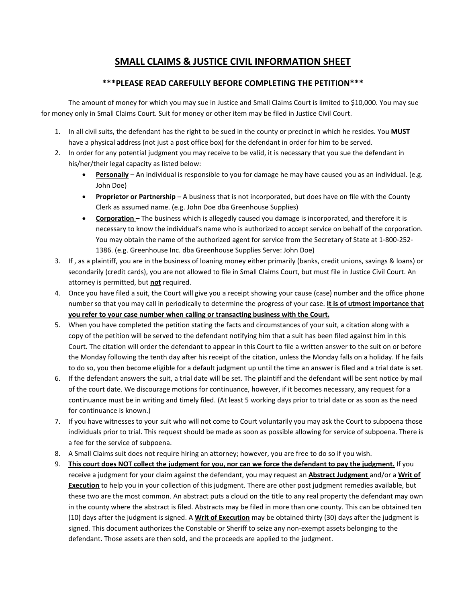## **SMALL CLAIMS & JUSTICE CIVIL INFORMATION SHEET**

## **\*\*\*PLEASE READ CAREFULLY BEFORE COMPLETING THE PETITION\*\*\***

The amount of money for which you may sue in Justice and Small Claims Court is limited to \$10,000. You may sue for money only in Small Claims Court. Suit for money or other item may be filed in Justice Civil Court.

- 1. In all civil suits, the defendant has the right to be sued in the county or precinct in which he resides. You **MUST**  have a physical address (not just a post office box) for the defendant in order for him to be served.
- 2. In order for any potential judgment you may receive to be valid, it is necessary that you sue the defendant in his/her/their legal capacity as listed below:
	- **Personally** An individual is responsible to you for damage he may have caused you as an individual. (e.g. John Doe)
	- **Proprietor or Partnership** A business that is not incorporated, but does have on file with the County Clerk as assumed name. (e.g. John Doe dba Greenhouse Supplies)
	- **Corporation –** The business which is allegedly caused you damage is incorporated, and therefore it is necessary to know the individual's name who is authorized to accept service on behalf of the corporation. You may obtain the name of the authorized agent for service from the Secretary of State at 1-800-252- 1386. (e.g. Greenhouse Inc. dba Greenhouse Supplies Serve: John Doe)
- 3. If , as a plaintiff, you are in the business of loaning money either primarily (banks, credit unions, savings & loans) or secondarily (credit cards), you are not allowed to file in Small Claims Court, but must file in Justice Civil Court. An attorney is permitted, but **not** required.
- 4. Once you have filed a suit, the Court will give you a receipt showing your cause (case) number and the office phone number so that you may call in periodically to determine the progress of your case. **It is of utmost importance that you refer to your case number when calling or transacting business with the Court.**
- 5. When you have completed the petition stating the facts and circumstances of your suit, a citation along with a copy of the petition will be served to the defendant notifying him that a suit has been filed against him in this Court. The citation will order the defendant to appear in this Court to file a written answer to the suit on or before the Monday following the tenth day after his receipt of the citation, unless the Monday falls on a holiday. If he fails to do so, you then become eligible for a default judgment up until the time an answer is filed and a trial date is set.
- 6. If the defendant answers the suit, a trial date will be set. The plaintiff and the defendant will be sent notice by mail of the court date. We discourage motions for continuance, however, if it becomes necessary, any request for a continuance must be in writing and timely filed. (At least 5 working days prior to trial date or as soon as the need for continuance is known.)
- 7. If you have witnesses to your suit who will not come to Court voluntarily you may ask the Court to subpoena those individuals prior to trial. This request should be made as soon as possible allowing for service of subpoena. There is a fee for the service of subpoena.
- 8. A Small Claims suit does not require hiring an attorney; however, you are free to do so if you wish.
- 9. **This court does NOT collect the judgment for you, nor can we force the defendant to pay the judgment.** If you receive a judgment for your claim against the defendant, you may request an **Abstract Judgment** and/or a **Writ of Execution** to help you in your collection of this judgment. There are other post judgment remedies available, but these two are the most common. An abstract puts a cloud on the title to any real property the defendant may own in the county where the abstract is filed. Abstracts may be filed in more than one county. This can be obtained ten (10) days after the judgment is signed. A **Writ of Execution** may be obtained thirty (30) days after the judgment is signed. This document authorizes the Constable or Sheriff to seize any non-exempt assets belonging to the defendant. Those assets are then sold, and the proceeds are applied to the judgment.